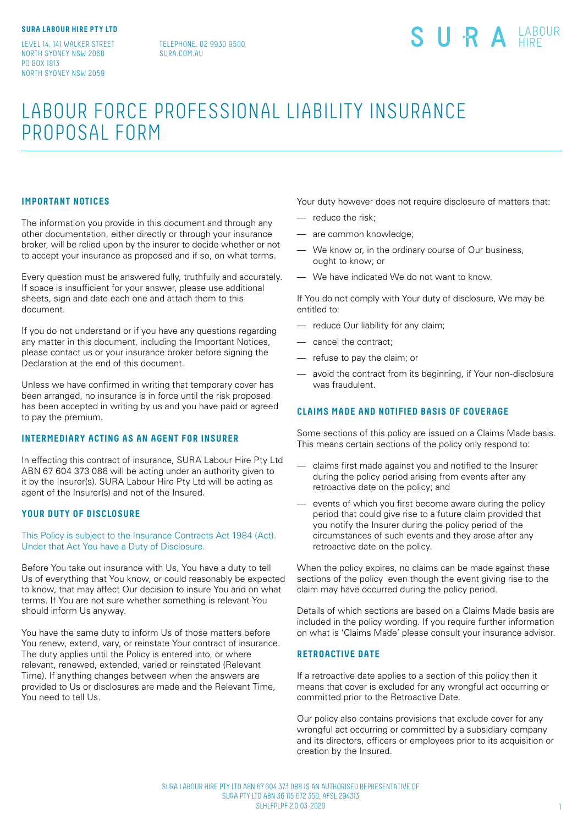LEVEL 14, 141 WALKER STREET NORTH SYDNEY NSW 2060 PO BOX 1813 NORTH SYDNEY NSW 2059

TELEPHONE. 02 9930 9500 SURA COM ALL

# SURA LABOUR

# LABOUR FORCE PROFESSIONAL LIABILITY INSURANCE PROPOSAL FORM

# **IMPORTANT NOTICES**

The information you provide in this document and through any other documentation, either directly or through your insurance broker, will be relied upon by the insurer to decide whether or not to accept your insurance as proposed and if so, on what terms.

Every question must be answered fully, truthfully and accurately. If space is insufficient for your answer, please use additional sheets, sign and date each one and attach them to this document.

If you do not understand or if you have any questions regarding any matter in this document, including the Important Notices, please contact us or your insurance broker before signing the Declaration at the end of this document.

Unless we have confirmed in writing that temporary cover has been arranged, no insurance is in force until the risk proposed has been accepted in writing by us and you have paid or agreed to pay the premium.

# **INTERMEDIARY ACTING AS AN AGENT FOR INSURER**

In effecting this contract of insurance, SURA Labour Hire Pty Ltd ABN 67 604 373 088 will be acting under an authority given to it by the Insurer(s). SURA Labour Hire Pty Ltd will be acting as agent of the Insurer(s) and not of the Insured.

# **YOUR DUTY OF DISCLOSURE**

This Policy is subject to the Insurance Contracts Act 1984 (Act). Under that Act You have a Duty of Disclosure.

Before You take out insurance with Us, You have a duty to tell Us of everything that You know, or could reasonably be expected to know, that may affect Our decision to insure You and on what terms. If You are not sure whether something is relevant You should inform Us anyway.

You have the same duty to inform Us of those matters before You renew, extend, vary, or reinstate Your contract of insurance. The duty applies until the Policy is entered into, or where relevant, renewed, extended, varied or reinstated (Relevant Time). If anything changes between when the answers are provided to Us or disclosures are made and the Relevant Time, You need to tell Us.

Your duty however does not require disclosure of matters that:

- reduce the risk;
- are common knowledge;
- We know or, in the ordinary course of Our business, ought to know; or
- We have indicated We do not want to know.

If You do not comply with Your duty of disclosure, We may be entitled to:

- reduce Our liability for any claim;
- cancel the contract;
- refuse to pay the claim; or
- avoid the contract from its beginning, if Your non-disclosure was fraudulent.

# **CLAIMS MADE AND NOTIFIED BASIS OF COVERAGE**

Some sections of this policy are issued on a Claims Made basis. This means certain sections of the policy only respond to:

- claims first made against you and notified to the Insurer during the policy period arising from events after any retroactive date on the policy; and
- events of which you first become aware during the policy period that could give rise to a future claim provided that you notify the Insurer during the policy period of the circumstances of such events and they arose after any retroactive date on the policy.

When the policy expires, no claims can be made against these sections of the policy even though the event giving rise to the claim may have occurred during the policy period.

Details of which sections are based on a Claims Made basis are included in the policy wording. If you require further information on what is 'Claims Made' please consult your insurance advisor.

#### **RETROACTIVE DATE**

If a retroactive date applies to a section of this policy then it means that cover is excluded for any wrongful act occurring or committed prior to the Retroactive Date.

Our policy also contains provisions that exclude cover for any wrongful act occurring or committed by a subsidiary company and its directors, officers or employees prior to its acquisition or creation by the Insured.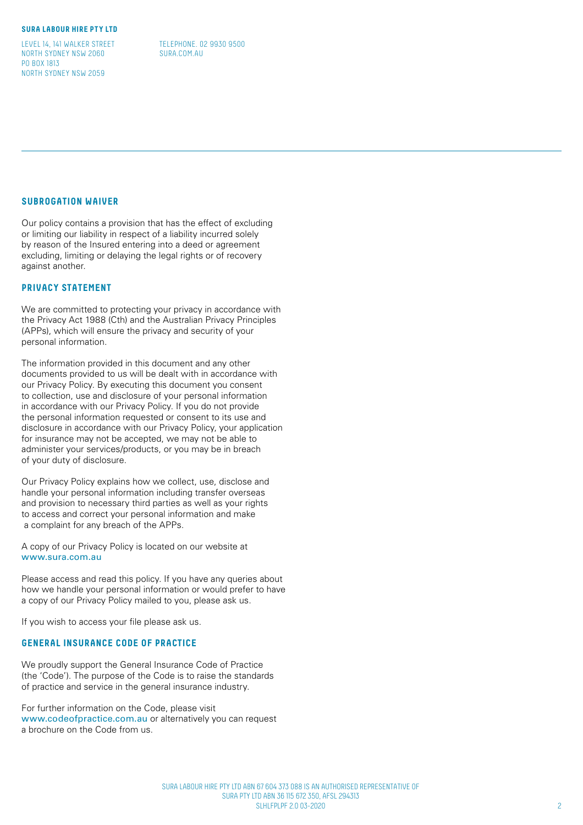LEVEL 14, 141 WALKER STREET NORTH SYDNEY NSW 2060 PO BOX 1813 NORTH SYDNEY NSW 2059

TELEPHONE. 02 9930 9500 SURA COM ALL

# **SUBROGATION WAIVER**

Our policy contains a provision that has the effect of excluding or limiting our liability in respect of a liability incurred solely by reason of the Insured entering into a deed or agreement excluding, limiting or delaying the legal rights or of recovery against another.

# **PRIVACY STATEMENT**

We are committed to protecting your privacy in accordance with the Privacy Act 1988 (Cth) and the Australian Privacy Principles (APPs), which will ensure the privacy and security of your personal information.

The information provided in this document and any other documents provided to us will be dealt with in accordance with our Privacy Policy. By executing this document you consent to collection, use and disclosure of your personal information in accordance with our Privacy Policy. If you do not provide the personal information requested or consent to its use and disclosure in accordance with our Privacy Policy, your application for insurance may not be accepted, we may not be able to administer your services/products, or you may be in breach of your duty of disclosure.

Our Privacy Policy explains how we collect, use, disclose and handle your personal information including transfer overseas and provision to necessary third parties as well as your rights to access and correct your personal information and make a complaint for any breach of the APPs.

A copy of our Privacy Policy is located on our website at www.sura.com.au

Please access and read this policy. If you have any queries about how we handle your personal information or would prefer to have a copy of our Privacy Policy mailed to you, please ask us.

If you wish to access your file please ask us.

# **GENERAL INSURANCE CODE OF PRACTICE**

We proudly support the General Insurance Code of Practice (the 'Code'). The purpose of the Code is to raise the standards of practice and service in the general insurance industry.

For further information on the Code, please visit www.codeofpractice.com.au or alternatively you can request a brochure on the Code from us.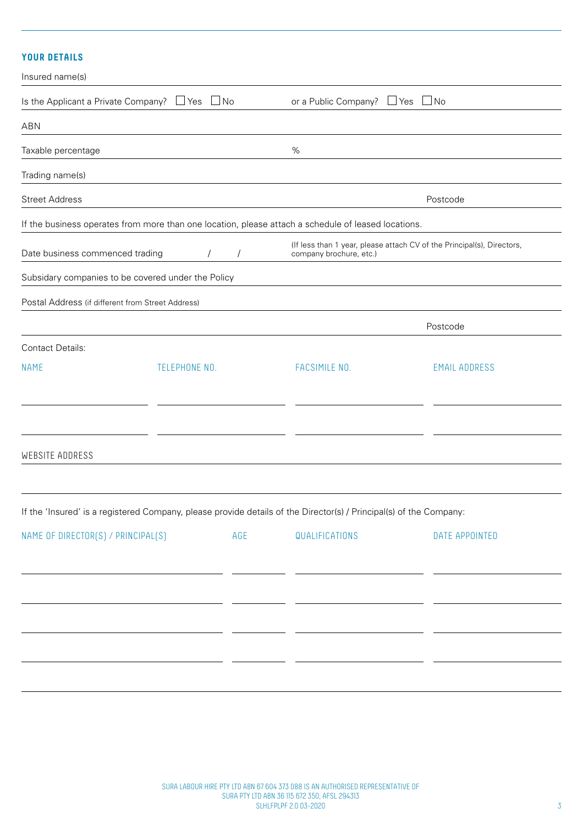# **YOUR DETAILS**

| Insured name(s)                                   |                                                    |                                                                                                                    |                                                                        |
|---------------------------------------------------|----------------------------------------------------|--------------------------------------------------------------------------------------------------------------------|------------------------------------------------------------------------|
| Is the Applicant a Private Company? $\Box$ Yes    | $\Box$ No                                          | or a Public Company? $\Box$ Yes                                                                                    | $\Box$ No                                                              |
| ABN                                               |                                                    |                                                                                                                    |                                                                        |
| Taxable percentage                                |                                                    | %                                                                                                                  |                                                                        |
| Trading name(s)                                   |                                                    |                                                                                                                    |                                                                        |
| <b>Street Address</b>                             |                                                    |                                                                                                                    | Postcode                                                               |
|                                                   |                                                    | If the business operates from more than one location, please attach a schedule of leased locations.                |                                                                        |
| Date business commenced trading                   |                                                    | company brochure, etc.)                                                                                            | (If less than 1 year, please attach CV of the Principal(s), Directors, |
|                                                   | Subsidary companies to be covered under the Policy |                                                                                                                    |                                                                        |
| Postal Address (if different from Street Address) |                                                    |                                                                                                                    |                                                                        |
|                                                   |                                                    |                                                                                                                    | Postcode                                                               |
| <b>Contact Details:</b>                           |                                                    |                                                                                                                    |                                                                        |
| <b>NAME</b>                                       | TELEPHONE NO.                                      | FACSIMILE NO.                                                                                                      | <b>EMAIL ADDRESS</b>                                                   |
|                                                   |                                                    |                                                                                                                    |                                                                        |
| WEBSITE ADDRESS                                   |                                                    |                                                                                                                    |                                                                        |
|                                                   |                                                    |                                                                                                                    |                                                                        |
|                                                   |                                                    | If the 'Insured' is a registered Company, please provide details of the Director(s) / Principal(s) of the Company: |                                                                        |
| NAME OF DIRECTOR(S) / PRINCIPAL(S)                | AGE                                                | QUALIFICATIONS                                                                                                     | DATE APPOINTED                                                         |
|                                                   |                                                    |                                                                                                                    |                                                                        |
|                                                   |                                                    |                                                                                                                    |                                                                        |
|                                                   |                                                    |                                                                                                                    |                                                                        |
|                                                   |                                                    |                                                                                                                    |                                                                        |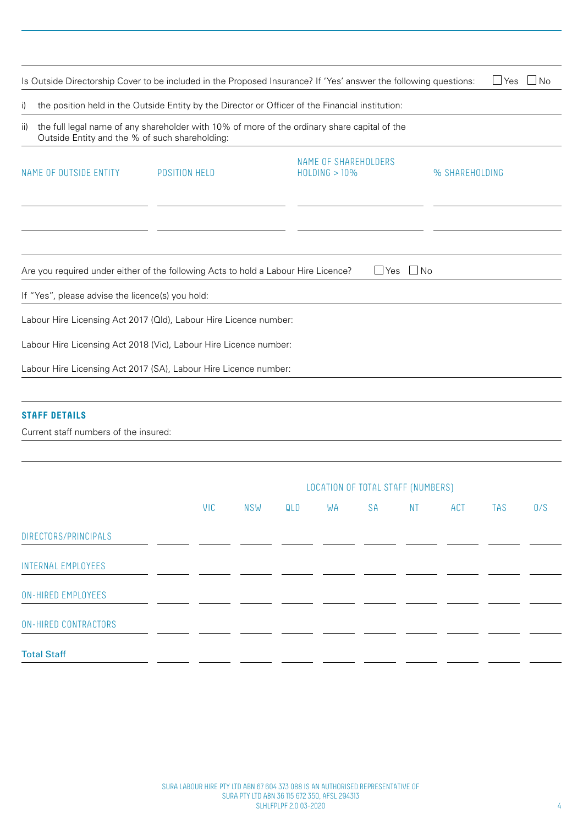|                                                               |                                                                                                                                       | Is Outside Directorship Cover to be included in the Proposed Insurance? If 'Yes' answer the following questions:                                                                                 | $\Box$ Yes $\Box$ No |
|---------------------------------------------------------------|---------------------------------------------------------------------------------------------------------------------------------------|--------------------------------------------------------------------------------------------------------------------------------------------------------------------------------------------------|----------------------|
| i)<br>ii)<br>Outside Entity and the % of such shareholding:   |                                                                                                                                       | the position held in the Outside Entity by the Director or Officer of the Financial institution:<br>the full legal name of any shareholder with 10% of more of the ordinary share capital of the |                      |
| NAME OF OUTSIDE ENTITY                                        | POSITION HELD                                                                                                                         | NAME OF SHAREHOLDERS<br>$HOLDING > 10\%$                                                                                                                                                         | % SHAREHOLDING       |
|                                                               |                                                                                                                                       |                                                                                                                                                                                                  |                      |
| If "Yes", please advise the licence(s) you hold:              | Are you required under either of the following Acts to hold a Labour Hire Licence?                                                    | $\Box$ Yes $\Box$ No                                                                                                                                                                             |                      |
|                                                               | Labour Hire Licensing Act 2017 (Qld), Labour Hire Licence number:                                                                     |                                                                                                                                                                                                  |                      |
|                                                               | Labour Hire Licensing Act 2018 (Vic), Labour Hire Licence number:<br>Labour Hire Licensing Act 2017 (SA), Labour Hire Licence number: |                                                                                                                                                                                                  |                      |
|                                                               |                                                                                                                                       |                                                                                                                                                                                                  |                      |
| <b>STAFF DETAILS</b><br>Current staff numbers of the insured: |                                                                                                                                       |                                                                                                                                                                                                  |                      |

|                             |     |     |     |    |           | LOCATION OF TOTAL STAFF (NUMBERS) |     |     |     |
|-----------------------------|-----|-----|-----|----|-----------|-----------------------------------|-----|-----|-----|
|                             | VIC | NSW | QLD | WA | <b>SA</b> | <b>NT</b>                         | ACT | TAS | 0/S |
| DIRECTORS/PRINCIPALS        |     |     |     |    |           |                                   |     |     |     |
| <b>INTERNAL EMPLOYEES</b>   |     |     |     |    |           |                                   |     |     |     |
| <b>ON-HIRED EMPLOYEES</b>   |     |     |     |    |           |                                   |     |     |     |
| <b>ON-HIRED CONTRACTORS</b> |     |     |     |    |           |                                   |     |     |     |
| <b>Total Staff</b>          |     |     |     |    |           |                                   |     |     |     |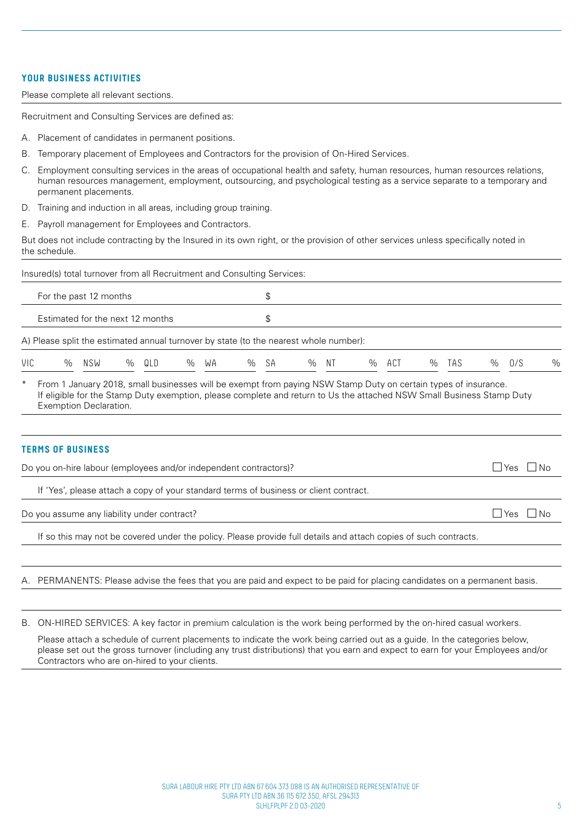# **YOUR BUSINESS ACTIVITIES**

Please complete all relevant sections.

Recruitment and Consulting Services are defined as:

- A. Placement of candidates in permanent positions.
- B. Temporary placement of Employees and Contractors for the provision of On-Hired Services.
- C. Employment consulting services in the areas of occupational health and safety, human resources, human resources relations, human resources management, employment, outsourcing, and psychological testing as a service separate to a temporary and permanent placements.
- D. Training and induction in all areas, including group training.
- E. Payroll management for Employees and Contractors.

But does not include contracting by the Insured in its own right, or the provision of other services unless specifically noted in the schedule.

|        | Insured(s) total turnover from all Recruitment and Consulting Services:                                                                                                                                                                                           |     |   |     |      |    |      |    |   |    |      |     |      |     |      |            |                                                                                                     |
|--------|-------------------------------------------------------------------------------------------------------------------------------------------------------------------------------------------------------------------------------------------------------------------|-----|---|-----|------|----|------|----|---|----|------|-----|------|-----|------|------------|-----------------------------------------------------------------------------------------------------|
|        | For the past 12 months                                                                                                                                                                                                                                            |     |   |     |      |    |      | \$ |   |    |      |     |      |     |      |            |                                                                                                     |
|        | Estimated for the next 12 months                                                                                                                                                                                                                                  |     |   |     |      |    |      | \$ |   |    |      |     |      |     |      |            |                                                                                                     |
|        | A) Please split the estimated annual turnover by state (to the nearest whole number):                                                                                                                                                                             |     |   |     |      |    |      |    |   |    |      |     |      |     |      |            |                                                                                                     |
| VIC    | $\%$                                                                                                                                                                                                                                                              | NSW | % | QLD | $\%$ | WA | $\%$ | SA | % | ΝT | $\%$ | ACT | $\%$ | TAS | $\%$ | 0/S        | $\%$                                                                                                |
| $\ast$ | From 1 January 2018, small businesses will be exempt from paying NSW Stamp Duty on certain types of insurance.<br>If eligible for the Stamp Duty exemption, please complete and return to Us the attached NSW Small Business Stamp Duty<br>Exemption Declaration. |     |   |     |      |    |      |    |   |    |      |     |      |     |      |            |                                                                                                     |
|        | <b>TERMS OF BUSINESS</b><br>Do you on-hire labour (employees and/or independent contractors)?                                                                                                                                                                     |     |   |     |      |    |      |    |   |    |      |     |      |     |      | $\Box$ Yes | - I No                                                                                              |
|        | If 'Yes', please attach a copy of your standard terms of business or client contract.                                                                                                                                                                             |     |   |     |      |    |      |    |   |    |      |     |      |     |      |            |                                                                                                     |
|        | Do you assume any liability under contract?                                                                                                                                                                                                                       |     |   |     |      |    |      |    |   |    |      |     |      |     |      | $\Box$ Yes | $\overline{\phantom{a}}$ $\overline{\phantom{a}}$ $\overline{\phantom{a}}$ $\overline{\phantom{a}}$ |
|        | If so this may not be covered under the policy. Please provide full details and attach copies of such contracts.                                                                                                                                                  |     |   |     |      |    |      |    |   |    |      |     |      |     |      |            |                                                                                                     |
|        |                                                                                                                                                                                                                                                                   |     |   |     |      |    |      |    |   |    |      |     |      |     |      |            |                                                                                                     |
|        | A. PERMANENTS: Please advise the fees that you are paid and expect to be paid for placing candidates on a permanent basis.                                                                                                                                        |     |   |     |      |    |      |    |   |    |      |     |      |     |      |            |                                                                                                     |
|        |                                                                                                                                                                                                                                                                   |     |   |     |      |    |      |    |   |    |      |     |      |     |      |            |                                                                                                     |
|        |                                                                                                                                                                                                                                                                   |     |   |     |      |    |      |    |   |    |      |     |      |     |      |            |                                                                                                     |

B. ON-HIRED SERVICES: A key factor in premium calculation is the work being performed by the on-hired casual workers.

Please attach a schedule of current placements to indicate the work being carried out as a guide. In the categories below, please set out the gross turnover (including any trust distributions) that you earn and expect to earn for your Employees and/or Contractors who are on-hired to your clients.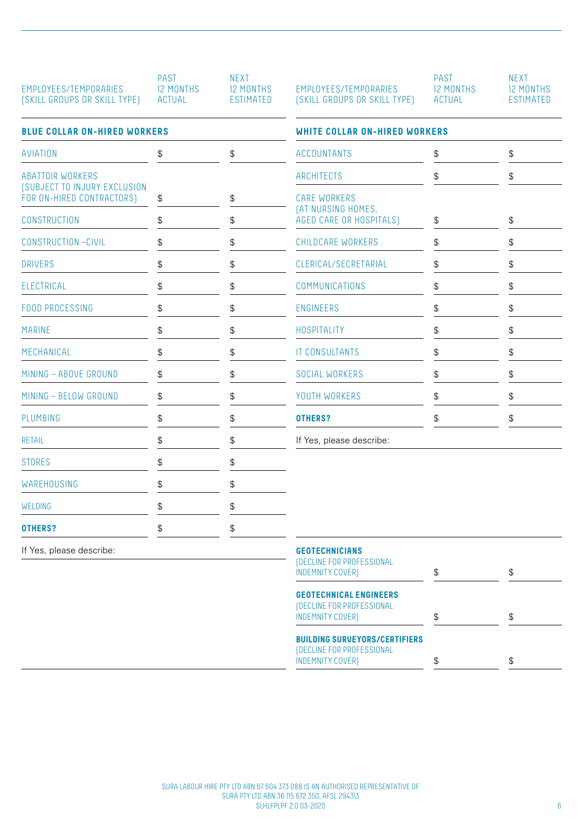| PAST<br>12 MONTHS<br>ACTUAL | <b>NFXT</b><br><b>12 MONTHS</b><br>ESTIMATED |
|-----------------------------|----------------------------------------------|
|                             |                                              |

| AVIATION                                                         | \$<br>\$                                            | <b>ACCOUNTANTS</b>                            | \$                                            | \$                    |
|------------------------------------------------------------------|-----------------------------------------------------|-----------------------------------------------|-----------------------------------------------|-----------------------|
| <b>ABATTOIR WORKERS</b>                                          |                                                     | ARCHITECTS                                    | \$                                            | \$                    |
| <b>(SUBJECT TO INJURY EXCLUSION</b><br>FOR ON-HIRED CONTRACTORS) | \$<br>${\mathbb S}$                                 | <b>CARE WORKERS</b>                           |                                               |                       |
| CONSTRUCTION                                                     | \$<br>${\mathbb S}$                                 | (AT NURSING HOMES,<br>AGED CARE OR HOSPITALS) | ${\mathbb S}$                                 | \$                    |
| <b>CONSTRUCTION -CIVIL</b>                                       | \$<br>${\mathbb S}$                                 | CHILDCARE WORKERS                             | \$                                            | \$                    |
| <b>DRIVERS</b>                                                   | \$<br>\$                                            | CLERICAL/SECRETARIAL                          | \$                                            | \$                    |
| ELECTRICAL                                                       | \$<br>\$                                            | COMMUNICATIONS                                | \$                                            | \$                    |
| <b>FOOD PROCESSING</b>                                           | \$<br>\$                                            | <b>ENGINEERS</b>                              | $\, \, \raisebox{12pt}{$\scriptstyle \circ$}$ | \$                    |
| <b>MARINE</b>                                                    | \$<br>${\mathbb S}$                                 | HOSPITALITY                                   | \$                                            | \$                    |
| MECHANICAL                                                       | \$<br>$\, \, \raisebox{12pt}{$\scriptstyle \circ$}$ | <b>IT CONSULTANTS</b>                         | \$                                            | $\boldsymbol{\theta}$ |
| MINING - ABOVE GROUND                                            | \$<br>$\, \, \raisebox{12pt}{$\scriptstyle \circ$}$ | SOCIAL WORKERS                                | \$                                            | \$                    |
| MINING - BELOW GROUND                                            | \$<br>${\mathbb S}$                                 | YOUTH WORKERS                                 | \$                                            | \$                    |
| PLUMBING                                                         | \$<br>\$                                            | OTHERS?                                       | \$                                            | \$                    |
| <b>RETAIL</b>                                                    | \$<br>\$                                            | If Yes, please describe:                      |                                               |                       |
| <b>STORES</b>                                                    | \$<br>\$                                            |                                               |                                               |                       |
| <b>WAREHOUSING</b>                                               | \$<br>\$                                            |                                               |                                               |                       |
| WELDING                                                          | \$<br>\$                                            |                                               |                                               |                       |
| <b>OTHERS?</b>                                                   | \$<br>\$                                            |                                               |                                               |                       |
|                                                                  |                                                     |                                               |                                               |                       |

If Yes, please describe:

|                              | PAST             |
|------------------------------|------------------|
| EMPLOYEES/TEMPORARIES        | <b>12 MONTHS</b> |
| (SKILL GROUPS OR SKILL TYPE) | ACTUAL           |

**BLUE COLLAR ON-HIRED WORKERS WHITE COLLAR ON-HIRED WORKERS** S \$ \$ ACCOUNTANTS \$ \$ ARCHITECTS \$ CARE WORKERS (AT NURSING HOMES, AGED CARE OR HOSPITALS) \$ CHILDCARE WORKERS \$ CLERICAL/SECRETARIAL \$ COMMUNICATIONS \$ IT CONSULTANTS \$ SOCIAL WORKERS \$ YOUTH WORKERS **\$** \$ If Yes, please describe:

NEXT 12 MONTHS ESTIMATED

| <b>GEOTECHNICIANS</b><br>(DECLINE FOR PROFESSIONAL<br>INDEMNITY COVER)                       | \$<br>\$ |
|----------------------------------------------------------------------------------------------|----------|
| <b>GEOTECHNICAL ENGINEERS</b><br>(DECLINE FOR PROFESSIONAL<br>INDEMNITY COVER)               | ß.       |
| <b>BUILDING SURVEYORS/CERTIFIERS</b><br>(DECLINE FOR PROFESSIONAL<br><b>INDEMNITY COVER)</b> | \$       |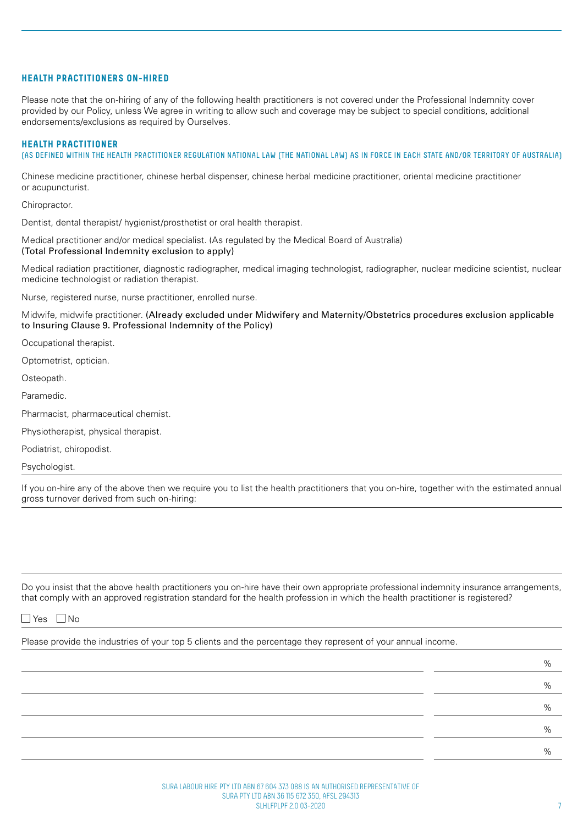#### **HEALTH PRACTITIONERS ON-HIRED**

Please note that the on-hiring of any of the following health practitioners is not covered under the Professional Indemnity cover provided by our Policy, unless We agree in writing to allow such and coverage may be subject to special conditions, additional endorsements/exclusions as required by Ourselves.

#### **HEALTH PRACTITIONER**

(AS DEFINED WITHIN THE HEALTH PRACTITIONER REGULATION NATIONAL LAW (THE NATIONAL LAW) AS IN FORCE IN EACH STATE AND/OR TERRITORY OF AUSTRALIA)

Chinese medicine practitioner, chinese herbal dispenser, chinese herbal medicine practitioner, oriental medicine practitioner or acupuncturist.

Chiropractor.

Dentist, dental therapist/ hygienist/prosthetist or oral health therapist.

Medical practitioner and/or medical specialist. (As regulated by the Medical Board of Australia) (Total Professional Indemnity exclusion to apply)

Medical radiation practitioner, diagnostic radiographer, medical imaging technologist, radiographer, nuclear medicine scientist, nuclear medicine technologist or radiation therapist.

Nurse, registered nurse, nurse practitioner, enrolled nurse.

Midwife, midwife practitioner. (Already excluded under Midwifery and Maternity/Obstetrics procedures exclusion applicable to Insuring Clause 9. Professional Indemnity of the Policy)

Occupational therapist.

Optometrist, optician.

Osteopath.

Paramedic.

Pharmacist, pharmaceutical chemist.

Physiotherapist, physical therapist.

Podiatrist, chiropodist.

Psychologist.

If you on-hire any of the above then we require you to list the health practitioners that you on-hire, together with the estimated annual gross turnover derived from such on-hiring:

Do you insist that the above health practitioners you on-hire have their own appropriate professional indemnity insurance arrangements, that comply with an approved registration standard for the health profession in which the health practitioner is registered?

# $\Box$  Yes  $\Box$  No

Please provide the industries of your top 5 clients and the percentage they represent of your annual income.

 $\%$  $\%$  $\%$  $\%$  $\%$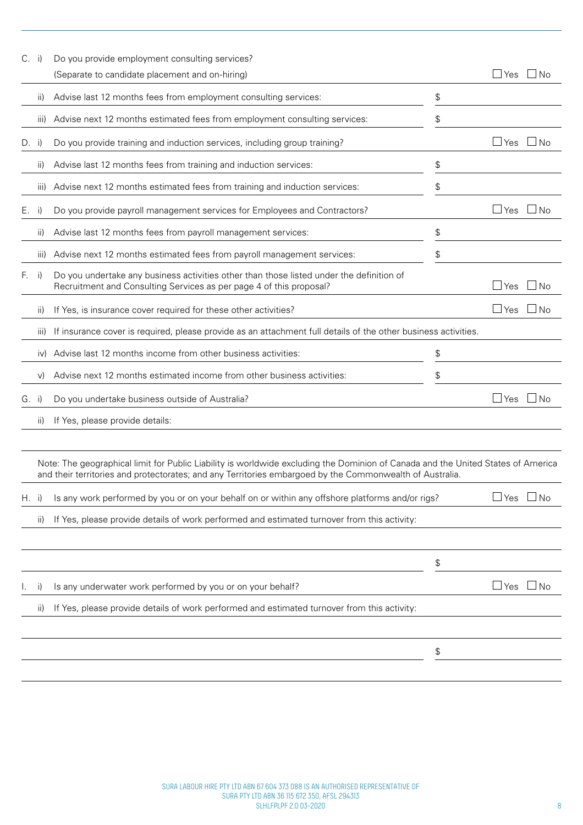| $C.$ i) |                     | Do you provide employment consulting services?<br>(Separate to candidate placement and on-hiring)                                                                                                                                                                                                                                               | $\sqcup$ Yes         | l INo     |
|---------|---------------------|-------------------------------------------------------------------------------------------------------------------------------------------------------------------------------------------------------------------------------------------------------------------------------------------------------------------------------------------------|----------------------|-----------|
|         | ii)                 | Advise last 12 months fees from employment consulting services:                                                                                                                                                                                                                                                                                 | \$                   |           |
|         | iii)                | Advise next 12 months estimated fees from employment consulting services:                                                                                                                                                                                                                                                                       | \$                   |           |
| $D.$ i) |                     | Do you provide training and induction services, including group training?                                                                                                                                                                                                                                                                       | $\Box$ Yes           | ⊥No       |
|         | ii)                 | Advise last 12 months fees from training and induction services:                                                                                                                                                                                                                                                                                | \$                   |           |
|         | $\vert \vert \vert$ | Advise next 12 months estimated fees from training and induction services:                                                                                                                                                                                                                                                                      | \$                   |           |
| Е.      | i)                  | Do you provide payroll management services for Employees and Contractors?                                                                                                                                                                                                                                                                       | $\sqcup$ Yes         | $\Box$ No |
|         | ii)                 | Advise last 12 months fees from payroll management services:                                                                                                                                                                                                                                                                                    | \$                   |           |
|         | III)                | Advise next 12 months estimated fees from payroll management services:                                                                                                                                                                                                                                                                          | \$                   |           |
| F.      | i)                  | Do you undertake any business activities other than those listed under the definition of<br>Recruitment and Consulting Services as per page 4 of this proposal?                                                                                                                                                                                 | $\sqcup$ Yes         | ∐No       |
|         | ii)                 | If Yes, is insurance cover required for these other activities?                                                                                                                                                                                                                                                                                 | $\Box$ Yes           | - I No    |
|         | $\vert \vert \vert$ | If insurance cover is required, please provide as an attachment full details of the other business activities.                                                                                                                                                                                                                                  |                      |           |
|         | $\mathsf{IV}$       | Advise last 12 months income from other business activities:                                                                                                                                                                                                                                                                                    | \$                   |           |
|         | V)                  | Advise next 12 months estimated income from other business activities:                                                                                                                                                                                                                                                                          | \$                   |           |
| G. i)   |                     | Do you undertake business outside of Australia?                                                                                                                                                                                                                                                                                                 | $\Box$ Yes $\Box$ No |           |
|         | ii)                 | If Yes, please provide details:                                                                                                                                                                                                                                                                                                                 |                      |           |
| $H.$ i) |                     | Note: The geographical limit for Public Liability is worldwide excluding the Dominion of Canada and the United States of America<br>and their territories and protectorates; and any Territories embargoed by the Commonwealth of Australia.<br>Is any work performed by you or on your behalf on or within any offshore platforms and/or rigs? | $\Box$ Yes           | $\Box$ No |
|         | ii)                 | If Yes, please provide details of work performed and estimated turnover from this activity:                                                                                                                                                                                                                                                     |                      |           |
|         |                     |                                                                                                                                                                                                                                                                                                                                                 | \$                   |           |
|         | $_{1}$              | Is any underwater work performed by you or on your behalf?                                                                                                                                                                                                                                                                                      | $\Box$ Yes           | $\Box$ No |
|         | ii)                 | If Yes, please provide details of work performed and estimated turnover from this activity:                                                                                                                                                                                                                                                     |                      |           |
|         |                     |                                                                                                                                                                                                                                                                                                                                                 | \$                   |           |
|         |                     |                                                                                                                                                                                                                                                                                                                                                 |                      |           |
|         |                     |                                                                                                                                                                                                                                                                                                                                                 |                      |           |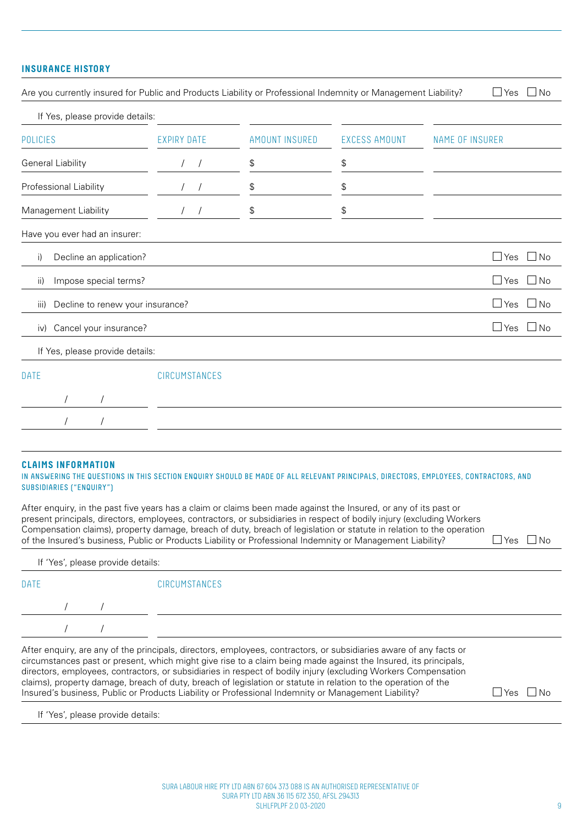# **INSURANCE HISTORY**

| Are you currently insured for Public and Products Liability or Professional Indemnity or Management Liability? |                          |                       |                      | $\Box$ Yes $\Box$ No           |
|----------------------------------------------------------------------------------------------------------------|--------------------------|-----------------------|----------------------|--------------------------------|
| If Yes, please provide details:                                                                                |                          |                       |                      |                                |
| <b>POLICIES</b>                                                                                                | <b>EXPIRY DATE</b>       | <b>AMOUNT INSURED</b> | <b>EXCESS AMOUNT</b> | <b>NAME OF INSURER</b>         |
| General Liability                                                                                              | $\sqrt{2}$<br>$\sqrt{2}$ | \$                    | \$                   |                                |
| Professional Liability                                                                                         |                          | \$                    | \$                   |                                |
| Management Liability                                                                                           |                          | \$                    | \$                   |                                |
| Have you ever had an insurer:                                                                                  |                          |                       |                      |                                |
| Decline an application?<br>i)                                                                                  |                          |                       |                      | $\Box$ Yes $\Box$ No           |
| Impose special terms?<br>ii)                                                                                   |                          |                       |                      | $\Box$ Yes $\Box$ No           |
| Decline to renew your insurance?<br>iii)                                                                       |                          |                       |                      | $\Box$ Yes<br>$\Box$ No        |
| Cancel your insurance?<br>iv)                                                                                  |                          |                       |                      | $\Box$ Yes $\Box$<br><b>No</b> |
| If Yes, please provide details:                                                                                |                          |                       |                      |                                |
| <b>DATE</b>                                                                                                    | CIRCUMSTANCES            |                       |                      |                                |
|                                                                                                                |                          |                       |                      |                                |
| $\prime$<br>$\prime$                                                                                           |                          |                       |                      |                                |
|                                                                                                                |                          |                       |                      |                                |

#### **CLAIMS INFORMATION**

#### IN ANSWERING THE QUESTIONS IN THIS SECTION ENQUIRY SHOULD BE MADE OF ALL RELEVANT PRINCIPALS, DIRECTORS, EMPLOYEES, CONTRACTORS, AND SUBSIDIARIES ("ENQUIRY")

After enquiry, in the past five years has a claim or claims been made against the Insured, or any of its past or present principals, directors, employees, contractors, or subsidiaries in respect of bodily injury (excluding Workers Compensation claims), property damage, breach of duty, breach of legislation or statute in relation to the operation of the Insured's business, Public or Products Liability or Professional Indemnity or Management Liability?  $\square$  Yes  $\square$  No

| If 'Yes', please provide details: |               |
|-----------------------------------|---------------|
| <b>DATE</b>                       | CIRCUMSTANCES |
|                                   |               |
|                                   |               |

After enquiry, are any of the principals, directors, employees, contractors, or subsidiaries aware of any facts or circumstances past or present, which might give rise to a claim being made against the Insured, its principals, directors, employees, contractors, or subsidiaries in respect of bodily injury (excluding Workers Compensation claims), property damage, breach of duty, breach of legislation or statute in relation to the operation of the Insured's business, Public or Products Liability or Professional Indemnity or Management Liability?  $\square$  Yes  $\square$  No

If 'Yes', please provide details: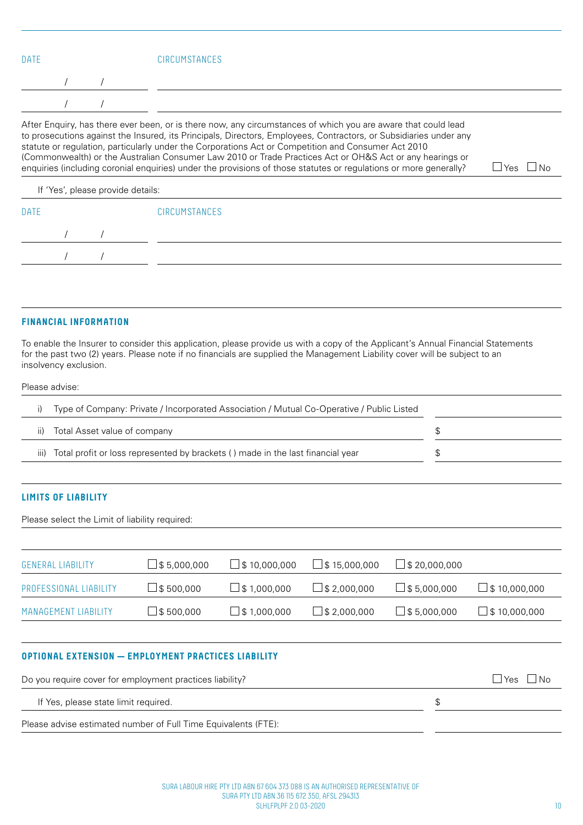|  | <b>CIRCUMSTANCES</b> |
|--|----------------------|
|  |                      |
|  |                      |

statute or regulation, particularly under the Corporations Act or Competition and Consumer Act 2010 (Commonwealth) or the Australian Consumer Law 2010 or Trade Practices Act or OH&S Act or any hearings or enquiries (including coronial enquiries) under the provisions of those statutes or regulations or more generally?  $\Box$  Yes  $\Box$  No

#### If 'Yes', please provide details:

#### **FINANCIAL INFORMATION**

To enable the Insurer to consider this application, please provide us with a copy of the Applicant's Annual Financial Statements for the past two (2) years. Please note if no financials are supplied the Management Liability cover will be subject to an insolvency exclusion.

#### Please advise:

| Type of Company: Private / Incorporated Association / Mutual Co-Operative / Public Listed  |  |
|--------------------------------------------------------------------------------------------|--|
| Total Asset value of company<br>$\vert \vert$                                              |  |
| Total profit or loss represented by brackets () made in the last financial year<br>$\  \ $ |  |

# **LIMITS OF LIABILITY**

Please select the Limit of liability required:

| <b>GENERAL LIABILITY</b> | $\Box$ \$ 5,000,000 | $\Box$ \$ 10,000,000 | $\Box$ \$ 15,000,000 | $\Box$ \$ 20,000,000 |                      |
|--------------------------|---------------------|----------------------|----------------------|----------------------|----------------------|
| PROFESSIONAL LIABILITY   | $\Box$ \$ 500,000   | $\Box$ \$ 1,000,000  | $\Box$ \$ 2.000.000  | $\Box$ \$5.000.000   | $\Box$ \$ 10,000,000 |
| MANAGEMENT LIABILITY     | $\Box$ \$ 500,000   | $\Box$ \$ 1,000,000  | $\Box$ \$ 2,000,000  | $\Box$ \$5.000.000   | $\Box$ \$ 10,000,000 |

# **OPTIONAL EXTENSION — EMPLOYMENT PRACTICES LIABILITY**

| Do you require cover for employment practices liability?       | Yes     No |
|----------------------------------------------------------------|------------|
| If Yes, please state limit required.                           |            |
| Please advise estimated number of Full Time Equivalents (FTE): |            |